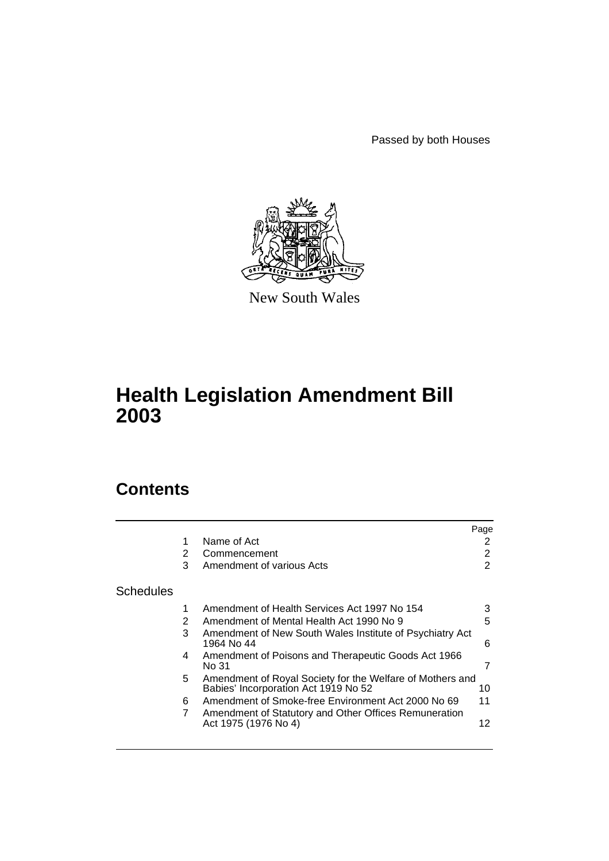Passed by both Houses



New South Wales

# **Health Legislation Amendment Bill 2003**

# **Contents**

|                  |   |                                                                                                   | Page |
|------------------|---|---------------------------------------------------------------------------------------------------|------|
|                  |   | Name of Act                                                                                       | 2    |
|                  | 2 | Commencement                                                                                      | 2    |
|                  | 3 | Amendment of various Acts                                                                         | 2    |
| <b>Schedules</b> |   |                                                                                                   |      |
|                  |   | Amendment of Health Services Act 1997 No 154                                                      | 3    |
|                  | 2 | Amendment of Mental Health Act 1990 No 9                                                          | 5    |
|                  | 3 | Amendment of New South Wales Institute of Psychiatry Act<br>1964 No 44                            | 6    |
|                  | 4 | Amendment of Poisons and Therapeutic Goods Act 1966<br>No 31                                      | 7    |
|                  | 5 | Amendment of Royal Society for the Welfare of Mothers and<br>Babies' Incorporation Act 1919 No 52 | 10   |
|                  | 6 | Amendment of Smoke-free Environment Act 2000 No 69                                                | 11   |
|                  | 7 | Amendment of Statutory and Other Offices Remuneration<br>Act 1975 (1976 No 4)                     | 12   |
|                  |   |                                                                                                   |      |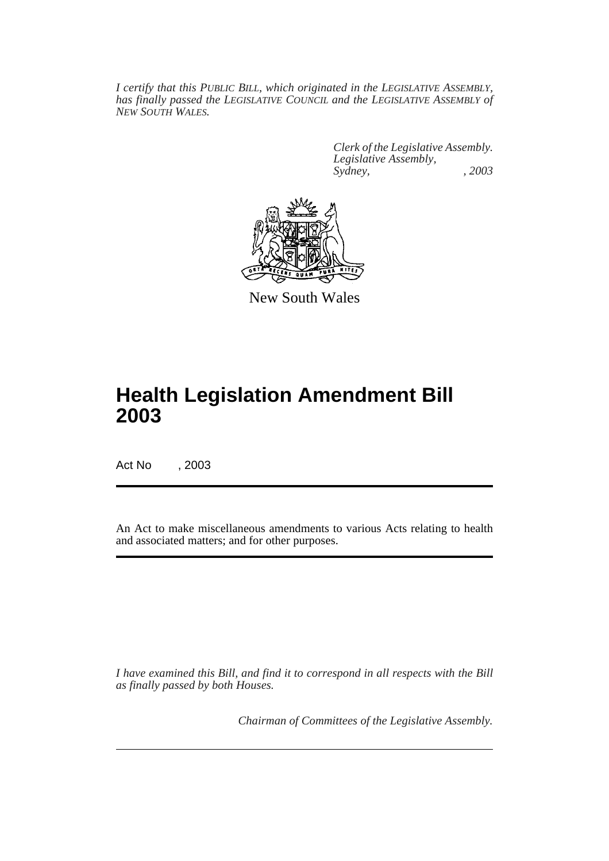*I certify that this PUBLIC BILL, which originated in the LEGISLATIVE ASSEMBLY, has finally passed the LEGISLATIVE COUNCIL and the LEGISLATIVE ASSEMBLY of NEW SOUTH WALES.*

> *Clerk of the Legislative Assembly. Legislative Assembly, Sydney, , 2003*



New South Wales

# **Health Legislation Amendment Bill 2003**

Act No , 2003

An Act to make miscellaneous amendments to various Acts relating to health and associated matters; and for other purposes.

*I have examined this Bill, and find it to correspond in all respects with the Bill as finally passed by both Houses.*

*Chairman of Committees of the Legislative Assembly.*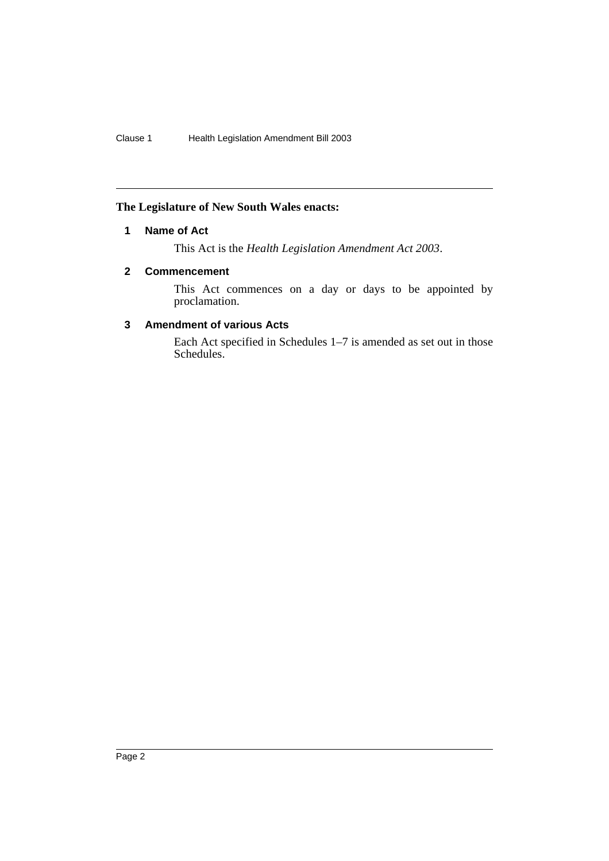#### **The Legislature of New South Wales enacts:**

#### **1 Name of Act**

This Act is the *Health Legislation Amendment Act 2003*.

#### **2 Commencement**

This Act commences on a day or days to be appointed by proclamation.

#### **3 Amendment of various Acts**

Each Act specified in Schedules 1–7 is amended as set out in those Schedules.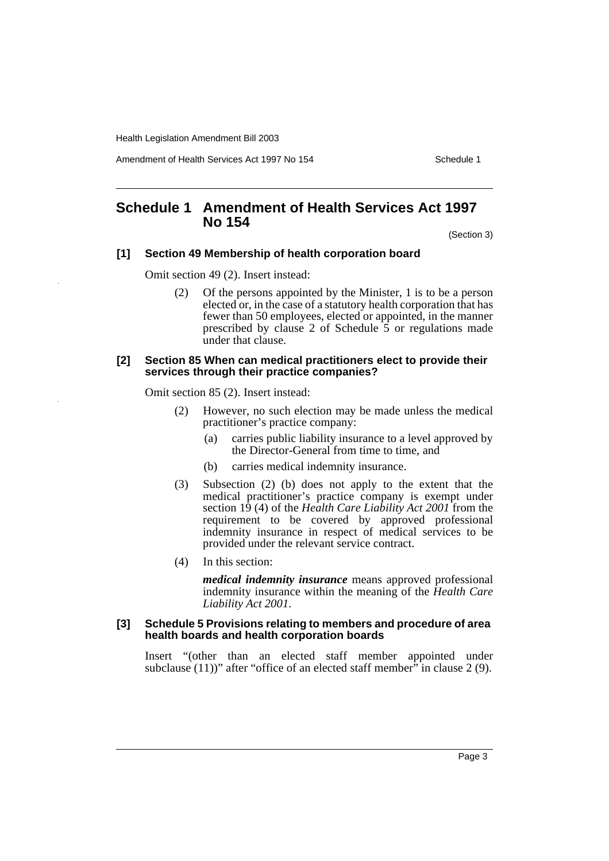Amendment of Health Services Act 1997 No 154 Schedule 1

## **Schedule 1 Amendment of Health Services Act 1997 No 154**

(Section 3)

#### **[1] Section 49 Membership of health corporation board**

Omit section 49 (2). Insert instead:

(2) Of the persons appointed by the Minister, 1 is to be a person elected or, in the case of a statutory health corporation that has fewer than 50 employees, elected or appointed, in the manner prescribed by clause 2 of Schedule  $\overline{5}$  or regulations made under that clause.

#### **[2] Section 85 When can medical practitioners elect to provide their services through their practice companies?**

Omit section 85 (2). Insert instead:

- (2) However, no such election may be made unless the medical practitioner's practice company:
	- (a) carries public liability insurance to a level approved by the Director-General from time to time, and
	- (b) carries medical indemnity insurance.
- (3) Subsection (2) (b) does not apply to the extent that the medical practitioner's practice company is exempt under section 19 (4) of the *Health Care Liability Act 2001* from the requirement to be covered by approved professional indemnity insurance in respect of medical services to be provided under the relevant service contract.
- (4) In this section:

*medical indemnity insurance* means approved professional indemnity insurance within the meaning of the *Health Care Liability Act 2001*.

#### **[3] Schedule 5 Provisions relating to members and procedure of area health boards and health corporation boards**

Insert "(other than an elected staff member appointed under subclause  $(11)$ )" after "office of an elected staff member" in clause 2 (9).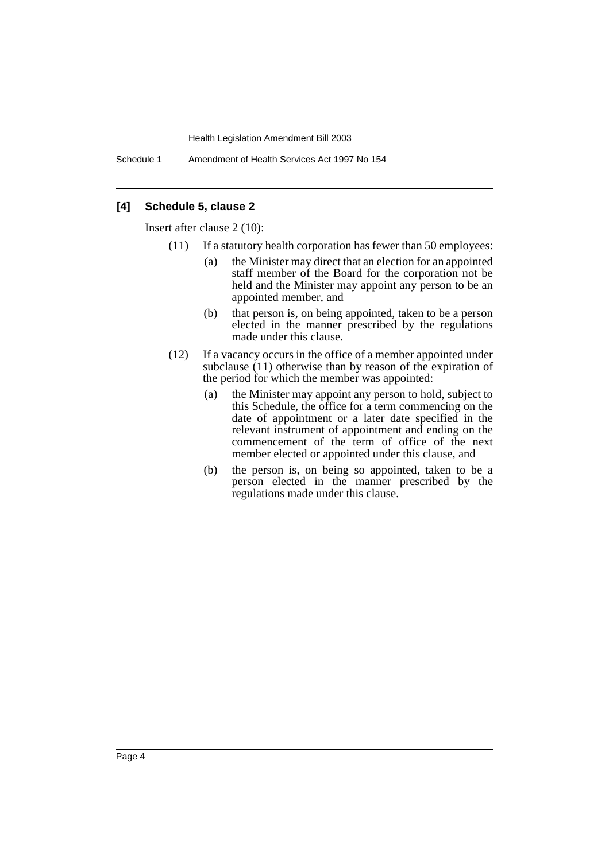Schedule 1 Amendment of Health Services Act 1997 No 154

#### **[4] Schedule 5, clause 2**

Insert after clause 2 (10):

- (11) If a statutory health corporation has fewer than 50 employees:
	- (a) the Minister may direct that an election for an appointed staff member of the Board for the corporation not be held and the Minister may appoint any person to be an appointed member, and
	- (b) that person is, on being appointed, taken to be a person elected in the manner prescribed by the regulations made under this clause.
- (12) If a vacancy occurs in the office of a member appointed under subclause (11) otherwise than by reason of the expiration of the period for which the member was appointed:
	- (a) the Minister may appoint any person to hold, subject to this Schedule, the office for a term commencing on the date of appointment or a later date specified in the relevant instrument of appointment and ending on the commencement of the term of office of the next member elected or appointed under this clause, and
	- (b) the person is, on being so appointed, taken to be a person elected in the manner prescribed by the regulations made under this clause.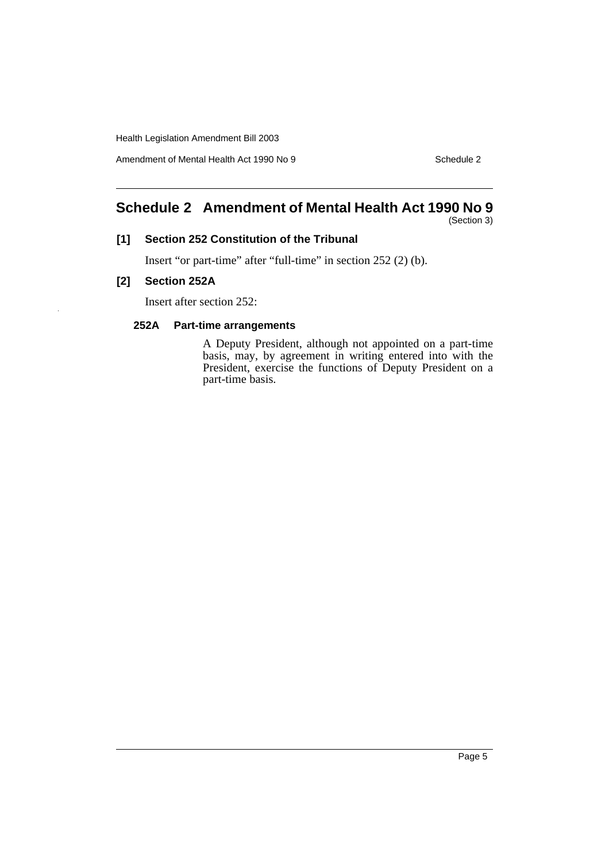Amendment of Mental Health Act 1990 No 9 Schedule 2

## **Schedule 2 Amendment of Mental Health Act 1990 No 9**

(Section 3)

#### **[1] Section 252 Constitution of the Tribunal**

Insert "or part-time" after "full-time" in section 252 (2) (b).

#### **[2] Section 252A**

Insert after section 252:

#### **252A Part-time arrangements**

A Deputy President, although not appointed on a part-time basis, may, by agreement in writing entered into with the President, exercise the functions of Deputy President on a part-time basis.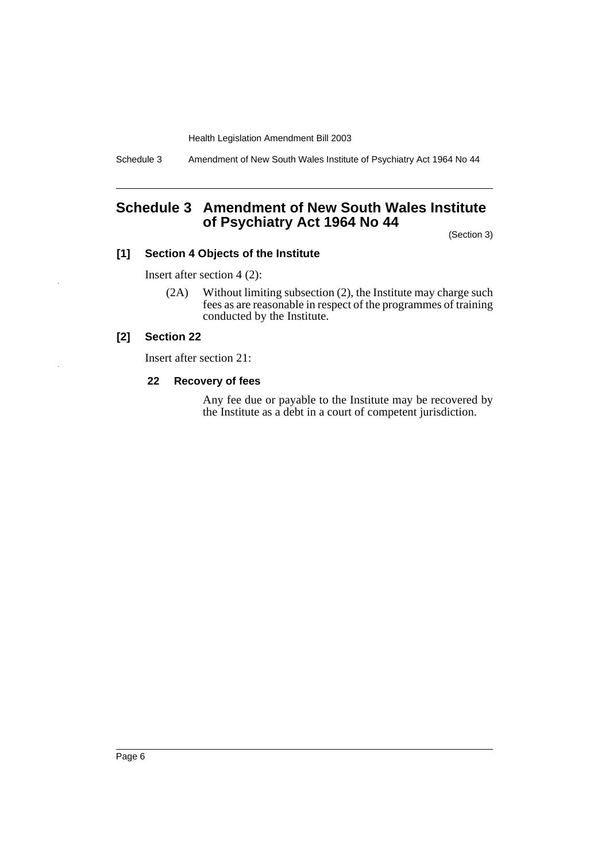Schedule 3 Amendment of New South Wales Institute of Psychiatry Act 1964 No 44

## **Schedule 3 Amendment of New South Wales Institute of Psychiatry Act 1964 No 44**

(Section 3)

#### **[1] Section 4 Objects of the Institute**

Insert after section 4 (2):

(2A) Without limiting subsection (2), the Institute may charge such fees as are reasonable in respect of the programmes of training conducted by the Institute.

#### **[2] Section 22**

Insert after section 21:

#### **22 Recovery of fees**

Any fee due or payable to the Institute may be recovered by the Institute as a debt in a court of competent jurisdiction.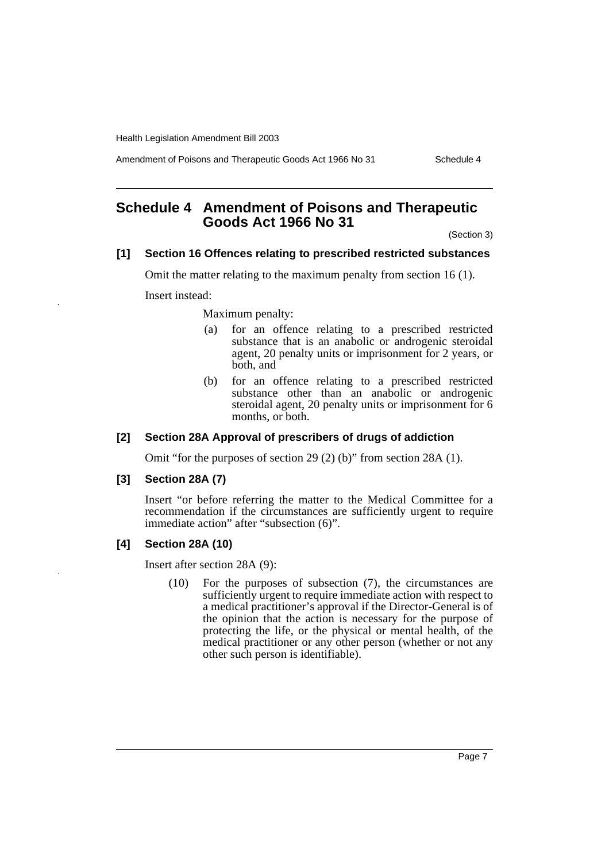Amendment of Poisons and Therapeutic Goods Act 1966 No 31 Schedule 4

## **Schedule 4 Amendment of Poisons and Therapeutic Goods Act 1966 No 31**

(Section 3)

#### **[1] Section 16 Offences relating to prescribed restricted substances**

Omit the matter relating to the maximum penalty from section 16 (1).

Insert instead:

Maximum penalty:

- (a) for an offence relating to a prescribed restricted substance that is an anabolic or androgenic steroidal agent, 20 penalty units or imprisonment for 2 years, or both, and
- (b) for an offence relating to a prescribed restricted substance other than an anabolic or androgenic steroidal agent, 20 penalty units or imprisonment for 6 months, or both.

#### **[2] Section 28A Approval of prescribers of drugs of addiction**

Omit "for the purposes of section 29 (2) (b)" from section 28A (1).

#### **[3] Section 28A (7)**

Insert "or before referring the matter to the Medical Committee for a recommendation if the circumstances are sufficiently urgent to require immediate action" after "subsection (6)".

#### **[4] Section 28A (10)**

Insert after section 28A (9):

(10) For the purposes of subsection (7), the circumstances are sufficiently urgent to require immediate action with respect to a medical practitioner's approval if the Director-General is of the opinion that the action is necessary for the purpose of protecting the life, or the physical or mental health, of the medical practitioner or any other person (whether or not any other such person is identifiable).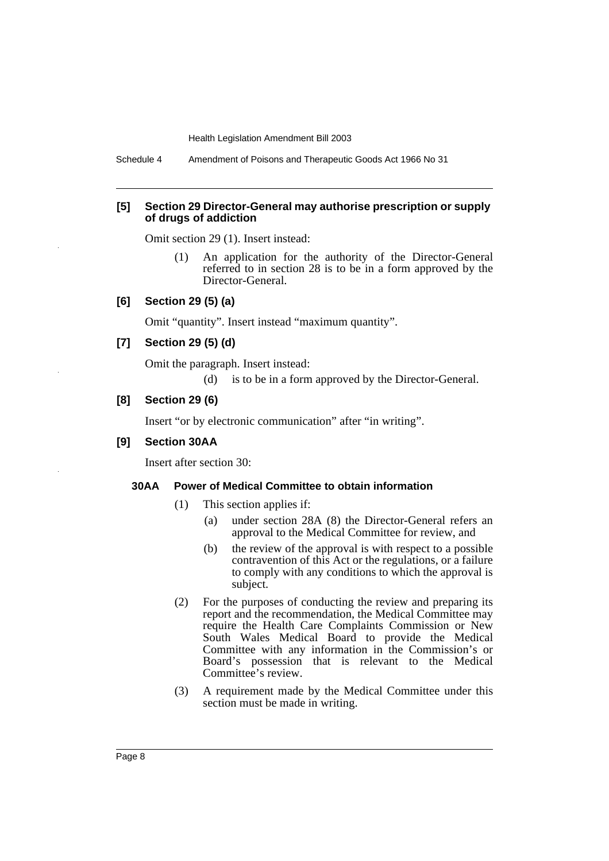Schedule 4 Amendment of Poisons and Therapeutic Goods Act 1966 No 31

#### **[5] Section 29 Director-General may authorise prescription or supply of drugs of addiction**

Omit section 29 (1). Insert instead:

(1) An application for the authority of the Director-General referred to in section 28 is to be in a form approved by the Director-General.

#### **[6] Section 29 (5) (a)**

Omit "quantity". Insert instead "maximum quantity".

#### **[7] Section 29 (5) (d)**

Omit the paragraph. Insert instead:

(d) is to be in a form approved by the Director-General.

#### **[8] Section 29 (6)**

Insert "or by electronic communication" after "in writing".

#### **[9] Section 30AA**

Insert after section 30:

#### **30AA Power of Medical Committee to obtain information**

- (1) This section applies if:
	- (a) under section 28A (8) the Director-General refers an approval to the Medical Committee for review, and
	- (b) the review of the approval is with respect to a possible contravention of this Act or the regulations, or a failure to comply with any conditions to which the approval is subject.
- (2) For the purposes of conducting the review and preparing its report and the recommendation, the Medical Committee may require the Health Care Complaints Commission or New South Wales Medical Board to provide the Medical Committee with any information in the Commission's or Board's possession that is relevant to the Medical Committee's review.
- (3) A requirement made by the Medical Committee under this section must be made in writing.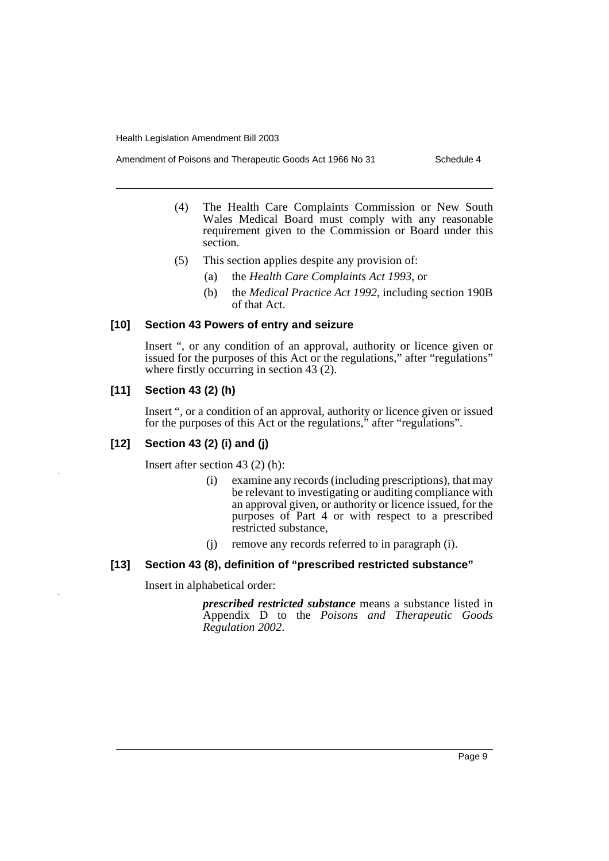- Amendment of Poisons and Therapeutic Goods Act 1966 No 31 Schedule 4
	- (4) The Health Care Complaints Commission or New South Wales Medical Board must comply with any reasonable requirement given to the Commission or Board under this section.
	- (5) This section applies despite any provision of:
		- (a) the *Health Care Complaints Act 1993*, or
		- (b) the *Medical Practice Act 1992*, including section 190B of that Act.

#### **[10] Section 43 Powers of entry and seizure**

Insert ", or any condition of an approval, authority or licence given or issued for the purposes of this Act or the regulations," after "regulations" where firstly occurring in section 43 (2).

#### **[11] Section 43 (2) (h)**

Insert ", or a condition of an approval, authority or licence given or issued for the purposes of this Act or the regulations," after "regulations".

## **[12] Section 43 (2) (i) and (j)**

Insert after section 43 (2) (h):

- (i) examine any records (including prescriptions), that may be relevant to investigating or auditing compliance with an approval given, or authority or licence issued, for the purposes of Part 4 or with respect to a prescribed restricted substance,
- (j) remove any records referred to in paragraph (i).

## **[13] Section 43 (8), definition of "prescribed restricted substance"**

Insert in alphabetical order:

*prescribed restricted substance* means a substance listed in Appendix D to the *Poisons and Therapeutic Goods Regulation 2002*.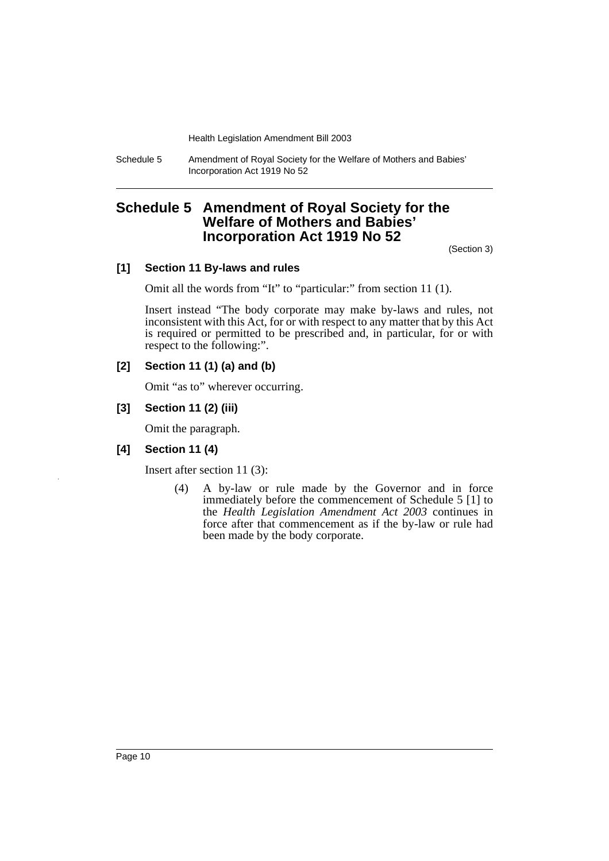Schedule 5 Amendment of Royal Society for the Welfare of Mothers and Babies' Incorporation Act 1919 No 52

## **Schedule 5 Amendment of Royal Society for the Welfare of Mothers and Babies' Incorporation Act 1919 No 52**

(Section 3)

#### **[1] Section 11 By-laws and rules**

Omit all the words from "It" to "particular:" from section 11 (1).

Insert instead "The body corporate may make by-laws and rules, not inconsistent with this Act, for or with respect to any matter that by this Act is required or permitted to be prescribed and, in particular, for or with respect to the following:".

#### **[2] Section 11 (1) (a) and (b)**

Omit "as to" wherever occurring.

#### **[3] Section 11 (2) (iii)**

Omit the paragraph.

#### **[4] Section 11 (4)**

Insert after section 11 (3):

(4) A by-law or rule made by the Governor and in force immediately before the commencement of Schedule 5 [1] to the *Health Legislation Amendment Act 2003* continues in force after that commencement as if the by-law or rule had been made by the body corporate.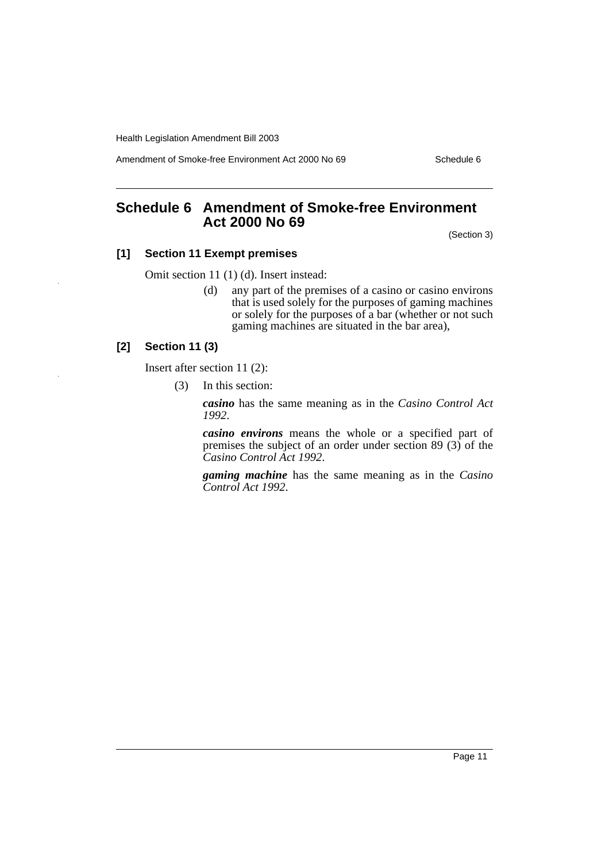Amendment of Smoke-free Environment Act 2000 No 69 Schedule 6

## **Schedule 6 Amendment of Smoke-free Environment Act 2000 No 69**

(Section 3)

#### **[1] Section 11 Exempt premises**

Omit section 11 (1) (d). Insert instead:

(d) any part of the premises of a casino or casino environs that is used solely for the purposes of gaming machines or solely for the purposes of a bar (whether or not such gaming machines are situated in the bar area),

#### **[2] Section 11 (3)**

Insert after section 11 (2):

(3) In this section:

*casino* has the same meaning as in the *Casino Control Act 1992*.

*casino environs* means the whole or a specified part of premises the subject of an order under section 89 (3) of the *Casino Control Act 1992*.

*gaming machine* has the same meaning as in the *Casino Control Act 1992*.